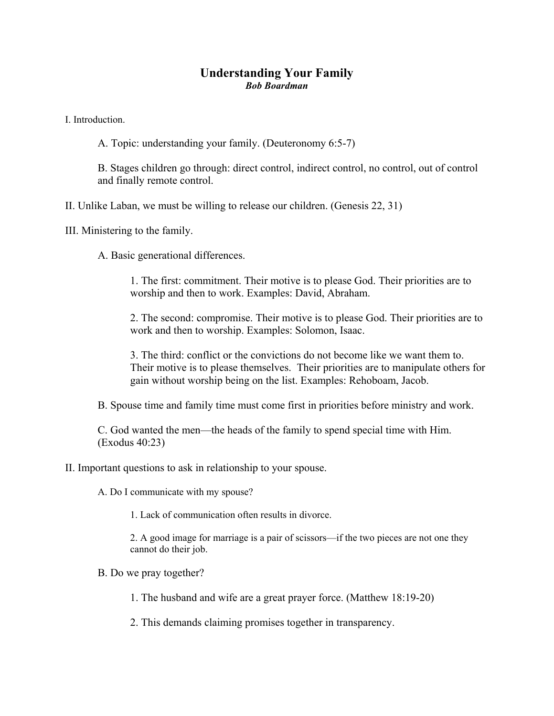## **Understanding Your Family**  *Bob Boardman*

I. Introduction.

A. Topic: understanding your family. (Deuteronomy 6:5-7)

B. Stages children go through: direct control, indirect control, no control, out of control and finally remote control.

II. Unlike Laban, we must be willing to release our children. (Genesis 22, 31)

III. Ministering to the family.

A. Basic generational differences.

1. The first: commitment. Their motive is to please God. Their priorities are to worship and then to work. Examples: David, Abraham.

2. The second: compromise. Their motive is to please God. Their priorities are to work and then to worship. Examples: Solomon, Isaac.

3. The third: conflict or the convictions do not become like we want them to. Their motive is to please themselves. Their priorities are to manipulate others for gain without worship being on the list. Examples: Rehoboam, Jacob.

B. Spouse time and family time must come first in priorities before ministry and work.

C. God wanted the men—the heads of the family to spend special time with Him. (Exodus 40:23)

II. Important questions to ask in relationship to your spouse.

A. Do I communicate with my spouse?

1. Lack of communication often results in divorce.

2. A good image for marriage is a pair of scissors—if the two pieces are not one they cannot do their job.

B. Do we pray together?

1. The husband and wife are a great prayer force. (Matthew 18:19-20)

2. This demands claiming promises together in transparency.